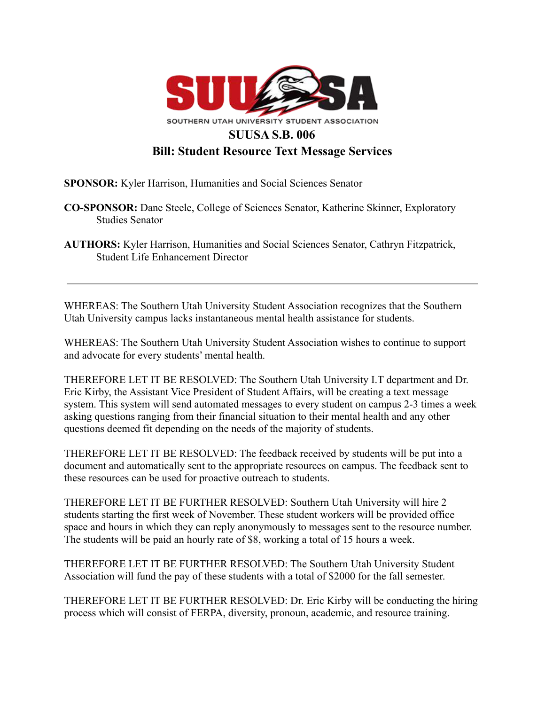

**SPONSOR:** Kyler Harrison, Humanities and Social Sciences Senator

- **CO-SPONSOR:** Dane Steele, College of Sciences Senator, Katherine Skinner, Exploratory Studies Senator
- **AUTHORS:** Kyler Harrison, Humanities and Social Sciences Senator, Cathryn Fitzpatrick, Student Life Enhancement Director

WHEREAS: The Southern Utah University Student Association recognizes that the Southern Utah University campus lacks instantaneous mental health assistance for students.

WHEREAS: The Southern Utah University Student Association wishes to continue to support and advocate for every students' mental health.

THEREFORE LET IT BE RESOLVED: The Southern Utah University I.T department and Dr. Eric Kirby, the Assistant Vice President of Student Affairs, will be creating a text message system. This system will send automated messages to every student on campus 2-3 times a week asking questions ranging from their financial situation to their mental health and any other questions deemed fit depending on the needs of the majority of students.

THEREFORE LET IT BE RESOLVED: The feedback received by students will be put into a document and automatically sent to the appropriate resources on campus. The feedback sent to these resources can be used for proactive outreach to students.

THEREFORE LET IT BE FURTHER RESOLVED: Southern Utah University will hire 2 students starting the first week of November. These student workers will be provided office space and hours in which they can reply anonymously to messages sent to the resource number. The students will be paid an hourly rate of \$8, working a total of 15 hours a week.

THEREFORE LET IT BE FURTHER RESOLVED: The Southern Utah University Student Association will fund the pay of these students with a total of \$2000 for the fall semester.

THEREFORE LET IT BE FURTHER RESOLVED: Dr. Eric Kirby will be conducting the hiring process which will consist of FERPA, diversity, pronoun, academic, and resource training.